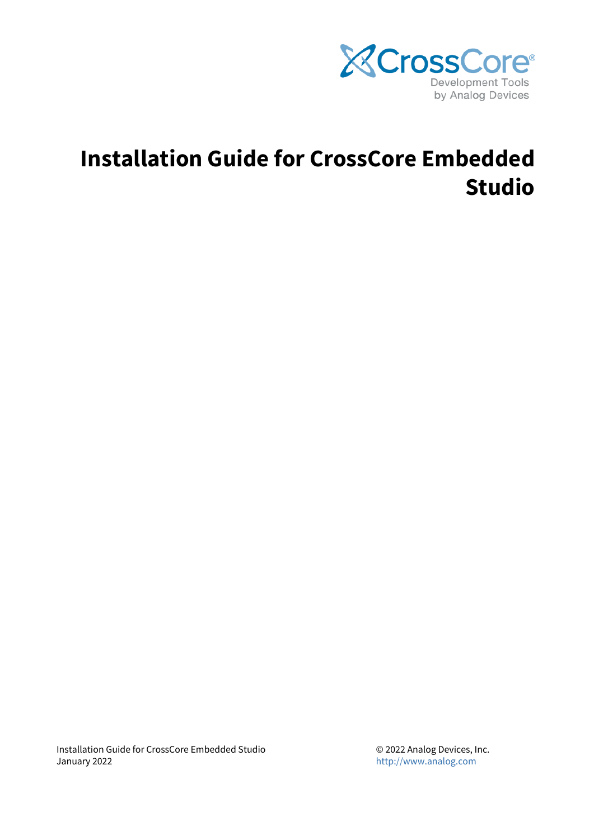

# **Installation Guide for CrossCore Embedded Studio**

Installation Guide for CrossCore Embedded Studio January 2022

© 2022 Analog Devices, Inc. <http://www.analog.com>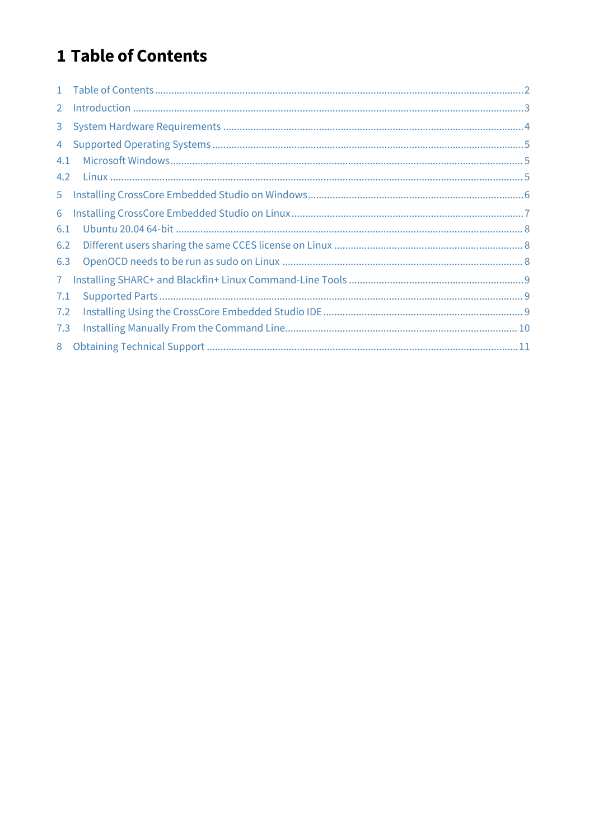# <span id="page-1-0"></span>1 Table of Contents

| $1 -$          |                                                                                                                                                                                                                                                                                                                                                                                                                                                                  |  |
|----------------|------------------------------------------------------------------------------------------------------------------------------------------------------------------------------------------------------------------------------------------------------------------------------------------------------------------------------------------------------------------------------------------------------------------------------------------------------------------|--|
| $\overline{2}$ | $\label{lem:1} \mbox{Introduction} \,\, \ldots \,\, \ldots \,\, \ldots \,\, \ldots \,\, \ldots \,\, \ldots \,\, \ldots \,\, \ldots \,\, \ldots \,\, \ldots \,\, \ldots \,\, \ldots \,\, \ldots \,\, \ldots \,\, \ldots \,\, \ldots \,\, \ldots \,\, \ldots \,\, \ldots \,\, \ldots \,\, \ldots \,\, \ldots \,\, \ldots \,\, \ldots \,\, \ldots \,\, \ldots \,\, \ldots \,\, \ldots \,\, \ldots \,\, \ldots \,\, \ldots \,\, \ldots \,\, \ldots \,\, \ldots \,\,$ |  |
| 3              |                                                                                                                                                                                                                                                                                                                                                                                                                                                                  |  |
| $\overline{4}$ |                                                                                                                                                                                                                                                                                                                                                                                                                                                                  |  |
| 4.1            |                                                                                                                                                                                                                                                                                                                                                                                                                                                                  |  |
| 4.2            |                                                                                                                                                                                                                                                                                                                                                                                                                                                                  |  |
| 5 <sub>1</sub> |                                                                                                                                                                                                                                                                                                                                                                                                                                                                  |  |
| 6              |                                                                                                                                                                                                                                                                                                                                                                                                                                                                  |  |
| 6.1            |                                                                                                                                                                                                                                                                                                                                                                                                                                                                  |  |
| 6.2            |                                                                                                                                                                                                                                                                                                                                                                                                                                                                  |  |
| 6.3            |                                                                                                                                                                                                                                                                                                                                                                                                                                                                  |  |
| 7 <sup>1</sup> |                                                                                                                                                                                                                                                                                                                                                                                                                                                                  |  |
| 7.1            |                                                                                                                                                                                                                                                                                                                                                                                                                                                                  |  |
| 7.2            |                                                                                                                                                                                                                                                                                                                                                                                                                                                                  |  |
| 7.3            |                                                                                                                                                                                                                                                                                                                                                                                                                                                                  |  |
| 8              |                                                                                                                                                                                                                                                                                                                                                                                                                                                                  |  |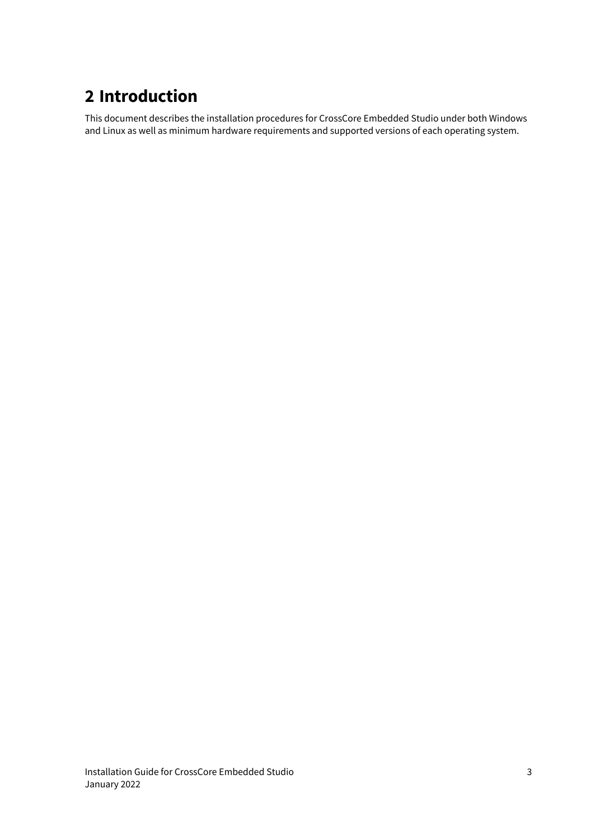# <span id="page-2-0"></span>**2 Introduction**

This document describes the installation procedures for CrossCore Embedded Studio under both Windows and Linux as well as minimum hardware requirements and supported versions of each operating system.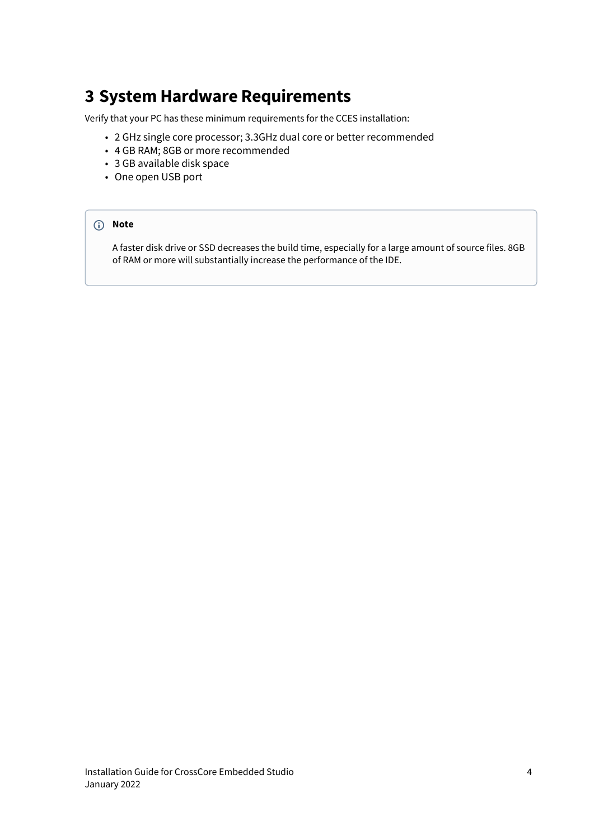## <span id="page-3-0"></span>**3 System Hardware Requirements**

Verify that your PC has these minimum requirements for the CCES installation:

- 2 GHz single core processor; 3.3GHz dual core or better recommended
- 4 GB RAM; 8GB or more recommended
- 3 GB available disk space
- One open USB port

#### **Note**

A faster disk drive or SSD decreases the build time, especially for a large amount of source files. 8GB of RAM or more will substantially increase the performance of the IDE.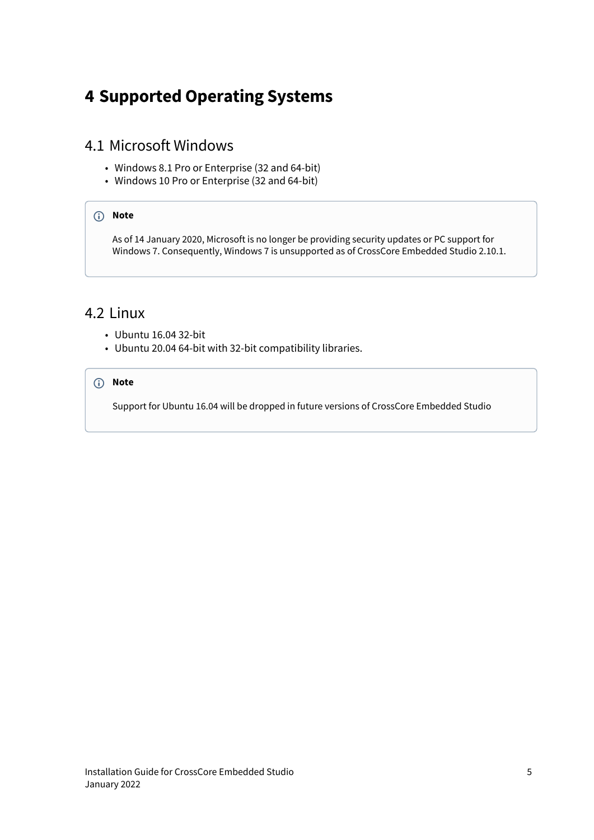# <span id="page-4-0"></span>**4 Supported Operating Systems**

#### <span id="page-4-1"></span>4.1 Microsoft Windows

- Windows 8.1 Pro or Enterprise (32 and 64-bit)
- Windows 10 Pro or Enterprise (32 and 64-bit)

#### **Note**

As of 14 January 2020, Microsoft is no longer be providing security updates or PC support for Windows 7. Consequently, Windows 7 is unsupported as of CrossCore Embedded Studio 2.10.1.

### <span id="page-4-2"></span>4.2 Linux

- Ubuntu 16.04 32-bit
- Ubuntu 20.04 64-bit with 32-bit compatibility libraries.

#### **Note**

Support for Ubuntu 16.04 will be dropped in future versions of CrossCore Embedded Studio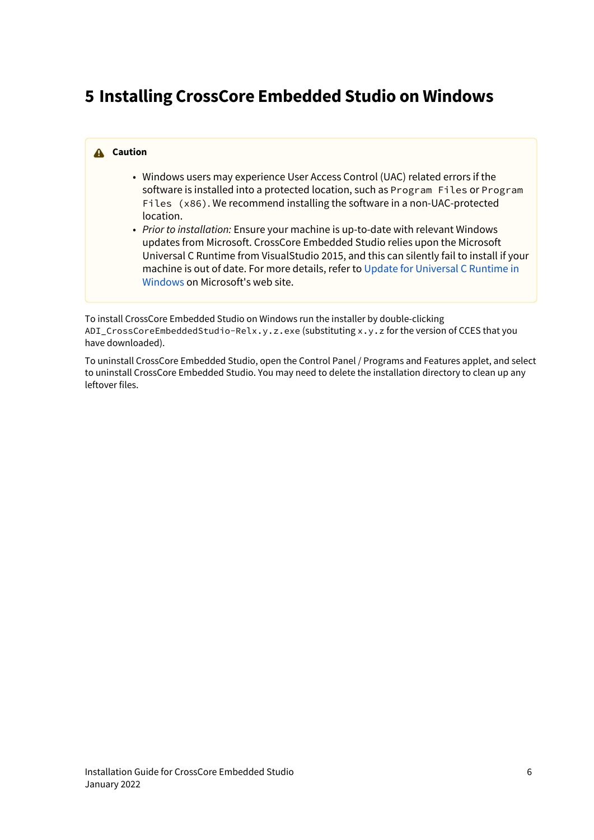# <span id="page-5-0"></span>**5 Installing CrossCore Embedded Studio on Windows**

#### **A** Caution

- Windows users may experience User Access Control (UAC) related errors if the software is installed into a protected location, such as Program Files or Program Files (x86). We recommend installing the software in a non-UAC-protected location.
- *Prior to installation:* Ensure your machine is up-to-date with relevant Windows updates from Microsoft. CrossCore Embedded Studio relies upon the Microsoft Universal C Runtime from VisualStudio 2015, and this can silently fail to install if your machine is out of date. For more details, refer to [Update for Universal C Runtime in](https://support.microsoft.com/en-us/help/2999226/update-for-universal-c-runtime-in-windows) [Windows](https://support.microsoft.com/en-us/help/2999226/update-for-universal-c-runtime-in-windows) on Microsoft's web site.

To install CrossCore Embedded Studio on Windows run the installer by double-clicking ADI\_CrossCoreEmbeddedStudio-Relx.y.z.exe (substituting x.y.z for the version of CCES that you have downloaded).

To uninstall CrossCore Embedded Studio, open the Control Panel / Programs and Features applet, and select to uninstall CrossCore Embedded Studio. You may need to delete the installation directory to clean up any leftover files.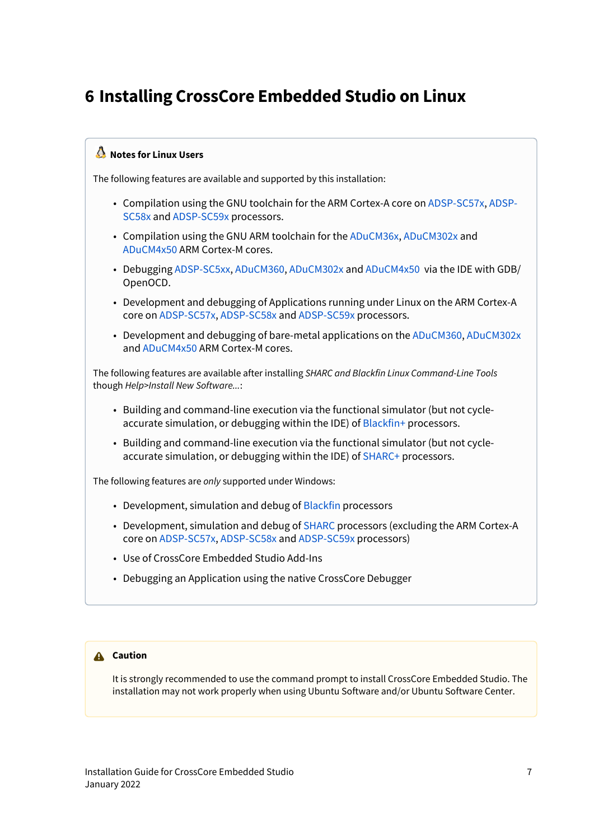# <span id="page-6-0"></span>**6 Installing CrossCore Embedded Studio on Linux**

#### **Notes for Linux Users**

The following features are available and supported by this installation:

- Compilation using the GNU toolchain for the ARM Cortex-A core on [ADSP-SC57x,](http://www.analog.com/en/products/landing-pages/001/adsp-sc57x-2157x-family.html) [ADSP-](http://www.analog.com/en/products/landing-pages/001/adsp-sc58x-adsp-2158x-series.html)[SC58x](http://www.analog.com/en/products/landing-pages/001/adsp-sc58x-adsp-2158x-series.html) and [ADSP-SC59x](http://www.analog.com/en/products/landing-pages/001/adsp-sc59x-adsp-2159x-series.html) processors.
- Compilation using the GNU ARM toolchain for the [ADuCM36x,](http://www.analog.com/en/products/processors-dsp/microcontrollers/precision-microcontrollers/aducm360.html) [ADuCM302x](http://www.analog.com/en/products/processors-dsp/analog-microcontrollers/arm-cortex-m3-processor/aducm3029.html) and [ADuCM4x50](http://www.analog.com/en/products/processors-dsp/microcontrollers/ultra-low-power-microcontrollers/aducm4050.html) ARM Cortex-M cores.
- Debugging [ADSP-SC5xx,](http://www.analog.com/en/products/landing-pages/001/adsp-sc58x-adsp-2158x-series.html) [ADuCM360](http://www.analog.com/en/products/processors-dsp/microcontrollers/precision-microcontrollers/aducm360.html), [ADuCM302x](http://www.analog.com/en/products/processors-dsp/analog-microcontrollers/arm-cortex-m3-processor/aducm3029.html) and [ADuCM4x50](http://www.analog.com/en/products/processors-dsp/microcontrollers/ultra-low-power-microcontrollers/aducm4050.html) via the IDE with GDB/ OpenOCD.
- Development and debugging of Applications running under Linux on the ARM Cortex-A core on [ADSP-SC57x](http://www.analog.com/en/products/landing-pages/001/adsp-sc57x-2157x-family.html), [ADSP-SC58x](http://www.analog.com/en/products/landing-pages/001/adsp-sc58x-adsp-2158x-series.html) and [ADSP-SC59x](http://www.analog.com/en/products/landing-pages/001/adsp-sc59x-adsp-2159x-series.html) processors.
- Development and debugging of bare-metal applications on the [ADuCM360](http://www.analog.com/en/products/processors-dsp/microcontrollers/precision-microcontrollers/aducm360.html), [ADuCM302x](http://www.analog.com/en/products/processors-dsp/analog-microcontrollers/arm-cortex-m3-processor/aducm3029.html) and [ADuCM4x50](http://www.analog.com/en/products/processors-dsp/microcontrollers/ultra-low-power-microcontrollers/aducm4050.html) ARM Cortex-M cores.

The following features are available after installing *SHARC and Blackfin Linux Command-Line Tools* though *Help>Install New Software...*:

- Building and command-line execution via the functional simulator (but not cycleaccurate simulation, or debugging within the IDE) of [Blackfin+](http://www.analog.com/en/products/processors-dsp/blackfin.html) processors.
- Building and command-line execution via the functional simulator (but not cycleaccurate simulation, or debugging within the IDE) of [SHARC+](http://www.analog.com/en/products/processors-dsp/sharc.html) processors.

The following features are *only* supported under Windows:

- Development, simulation and debug of [Blackfin](http://www.analog.com/en/products/processors-dsp/blackfin.html) processors
- Development, simulation and debug of [SHARC](http://www.analog.com/en/products/processors-dsp/sharc.html) processors (excluding the ARM Cortex-A core on [ADSP-SC57x](http://www.analog.com/en/products/landing-pages/001/adsp-sc57x-2157x-family.html), [ADSP-SC58x](http://www.analog.com/en/products/landing-pages/001/adsp-sc58x-adsp-2158x-series.html) and [ADSP-SC59x](http://www.analog.com/en/products/landing-pages/001/adsp-sc59x-adsp-2159x-series.html) processors)
- Use of CrossCore Embedded Studio Add-Ins
- Debugging an Application using the native CrossCore Debugger

#### **A** Caution

It is strongly recommended to use the command prompt to install CrossCore Embedded Studio. The installation may not work properly when using Ubuntu Software and/or Ubuntu Software Center.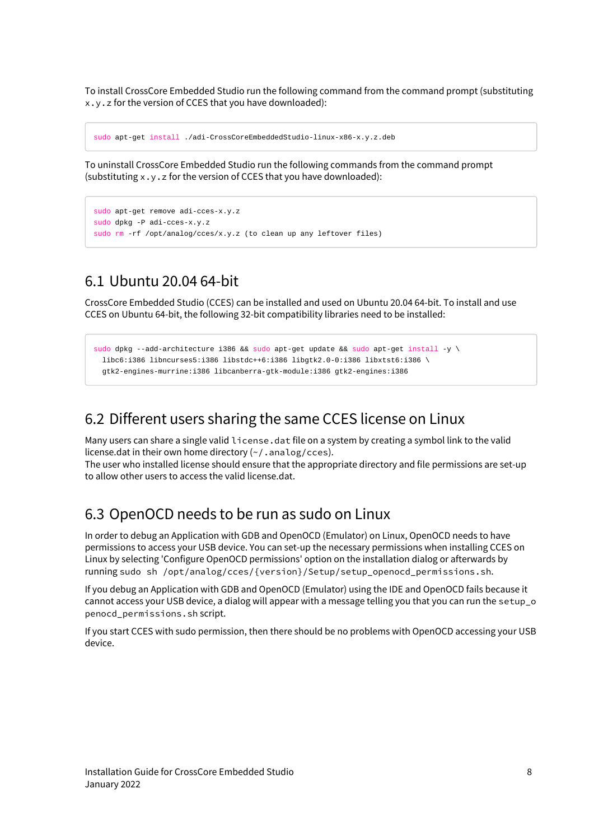To install CrossCore Embedded Studio run the following command from the command prompt (substituting x.y.z for the version of CCES that you have downloaded):

```
sudo apt-get install ./adi-CrossCoreEmbeddedStudio-linux-x86-x.y.z.deb
```
To uninstall CrossCore Embedded Studio run the following commands from the command prompt (substituting x.y.z for the version of CCES that you have downloaded):

```
sudo apt-get remove adi-cces-x.y.z
sudo dpkg -P adi-cces-x.y.z
sudo rm -rf /opt/analog/cces/x.y.z (to clean up any leftover files)
```
### <span id="page-7-0"></span>6.1 Ubuntu 20.04 64-bit

CrossCore Embedded Studio (CCES) can be installed and used on Ubuntu 20.04 64-bit. To install and use CCES on Ubuntu 64-bit, the following 32-bit compatibility libraries need to be installed:

```
sudo dpkg --add-architecture i386 && sudo apt-get update && sudo apt-get install -y \setminus libc6:i386 libncurses5:i386 libstdc++6:i386 libgtk2.0-0:i386 libxtst6:i386 \
  gtk2-engines-murrine:i386 libcanberra-gtk-module:i386 gtk2-engines:i386
```
### <span id="page-7-1"></span>6.2 Different users sharing the same CCES license on Linux

Many users can share a single valid license.dat file on a system by creating a symbol link to the valid license.dat in their own home directory (~/.analog/cces).

The user who installed license should ensure that the appropriate directory and file permissions are set-up to allow other users to access the valid license.dat.

### <span id="page-7-2"></span>6.3 OpenOCD needs to be run as sudo on Linux

In order to debug an Application with GDB and OpenOCD (Emulator) on Linux, OpenOCD needs to have permissions to access your USB device. You can set-up the necessary permissions when installing CCES on Linux by selecting 'Configure OpenOCD permissions' option on the installation dialog or afterwards by running sudo sh /opt/analog/cces/{version}/Setup/setup\_openocd\_permissions.sh.

If you debug an Application with GDB and OpenOCD (Emulator) using the IDE and OpenOCD fails because it cannot access your USB device, a dialog will appear with a message telling you that you can run the setup\_o penocd\_permissions.sh script.

If you start CCES with sudo permission, then there should be no problems with OpenOCD accessing your USB device.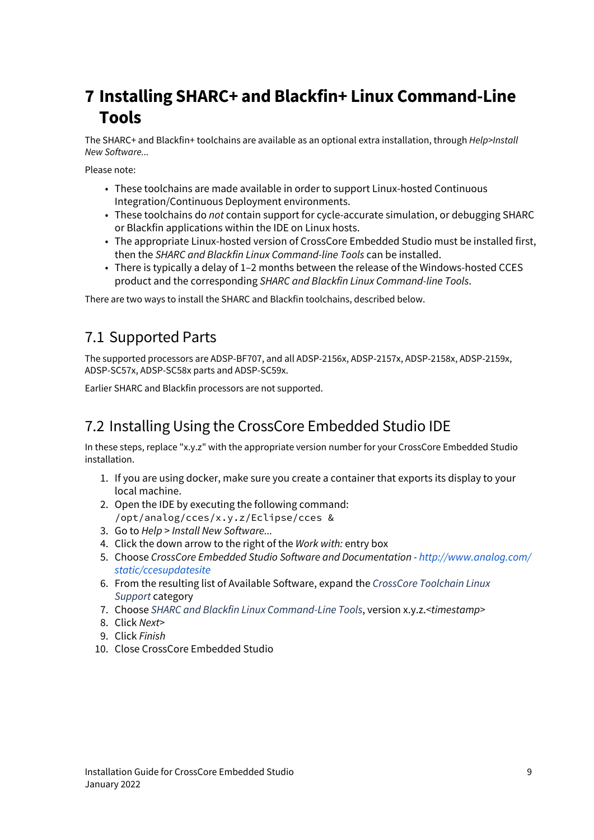# <span id="page-8-0"></span>**7 Installing SHARC+ and Blackfin+ Linux Command-Line Tools**

The SHARC+ and Blackfin+ toolchains are available as an optional extra installation, through *Help>Install New Software...*

Please note:

- These toolchains are made available in order to support Linux-hosted Continuous Integration/Continuous Deployment environments.
- These toolchains do *not* contain support for cycle-accurate simulation, or debugging SHARC or Blackfin applications within the IDE on Linux hosts.
- The appropriate Linux-hosted version of CrossCore Embedded Studio must be installed first, then the *SHARC and Blackfin Linux Command-line Tools* can be installed.
- There is typically a delay of 1–2 months between the release of the Windows-hosted CCES product and the corresponding *SHARC and Blackfin Linux Command-line Tools*.

There are two ways to install the SHARC and Blackfin toolchains, described below.

### <span id="page-8-1"></span>7.1 Supported Parts

The supported processors are ADSP-BF707, and all ADSP-2156x, ADSP-2157x, ADSP-2158x, ADSP-2159x, ADSP-SC57x, ADSP-SC58x parts and ADSP-SC59x.

Earlier SHARC and Blackfin processors are not supported.

### <span id="page-8-2"></span>7.2 Installing Using the CrossCore Embedded Studio IDE

In these steps, replace "x.y.z" with the appropriate version number for your CrossCore Embedded Studio installation.

- 1. If you are using docker, make sure you create a container that exports its display to your local machine.
- 2. Open the IDE by executing the following command: /opt/analog/cces/x.y.z/Eclipse/cces &
- 3. Go to *Help* > *Install New Software...*
- 4. Click the down arrow to the right of the *Work with:* entry box
- 5. Choose *CrossCore Embedded Studio Software and Documentation - [http://www.analog.com/](http://www.analog.com/static/ccesupdatesite) [static/ccesupdatesite](http://www.analog.com/static/ccesupdatesite)*
- 6. From the resulting list of Available Software, expand the *CrossCore Toolchain Linux Support* category
- 7. Choose *SHARC and Blackfin Linux Command-Line Tools*, version x.y.z.*<timestamp>*
- 8. Click *Next>*
- 9. Click *Finish*
- 10. Close CrossCore Embedded Studio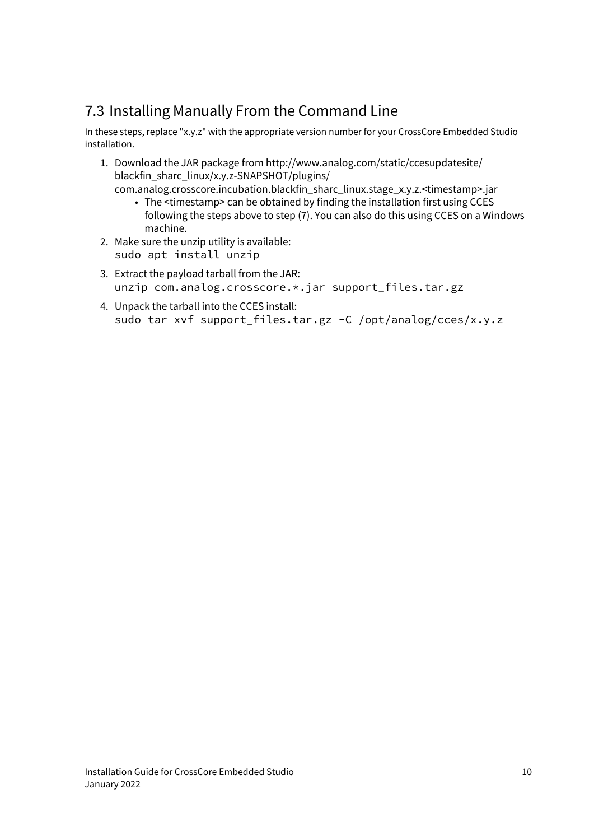## <span id="page-9-0"></span>7.3 Installing Manually From the Command Line

In these steps, replace "x.y.z" with the appropriate version number for your CrossCore Embedded Studio installation.

- 1. Download the JAR package from http://www.analog.com/static/ccesupdatesite/ blackfin\_sharc\_linux/x.y.z-SNAPSHOT/plugins/
	- The <timestamp> can be obtained by finding the installation first using CCES com.analog.crosscore.incubation.blackfin\_sharc\_linux.stage\_x.y.z.<timestamp>.jar following the steps above to step (7). You can also do this using CCES on a Windows machine.
- 2. Make sure the unzip utility is available: sudo apt install unzip
- 3. Extract the payload tarball from the JAR: unzip com.analog.crosscore.\*.jar support\_files.tar.gz
- 4. Unpack the tarball into the CCES install: sudo tar xvf support\_files.tar.gz -C /opt/analog/cces/x.y.z